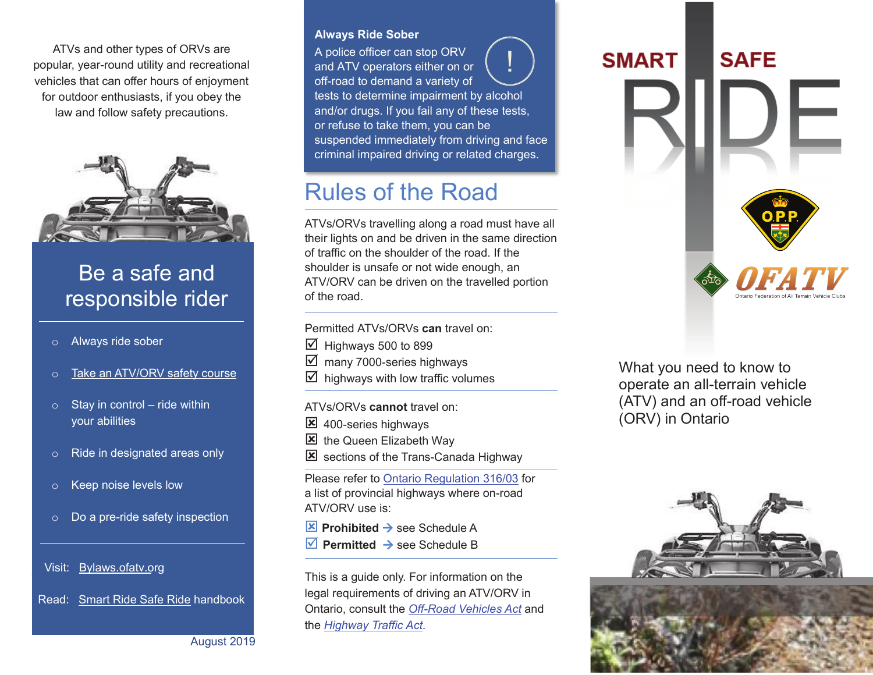ATVs and other types of ORVs are popular, year-round utility and recreational vehicles that can offer hours of enjoyment for outdoor enthusiasts, if you obey the law and follow safety precautions.



# Be a safe and responsible rider

- o Always ride sober
- o Take an ATV/ORV safety course
- $\circ$  Stay in control ride within your abilities
- o Ride in designated areas only
- o Keep noise levels low
- o Do a pre-ride safety inspection

Visit: Bylaws.ofatv.org

Read: Smart Ride Safe Ride handbook

August 2019

#### **Always Ride Sober**

A police officer can stop ORV and ATV operators either on or off-road to demand a variety of tests to determine impairment by alcohol and/or drugs. If you fail any of these tests, or refuse to take them, you can be suspended immediately from driving and face criminal impaired driving or related charges. !<br>!

# Rules of the Road

ATVs/ORVs travelling along a road must have all their lights on and be driven in the same direction of traffic on the shoulder of the road. If the shoulder is unsafe or not wide enough, an ATV/ORV can be driven on the travelled portion of the road.

Permitted ATVs/ORVs **can** travel on:

- $\boxtimes$  Highways 500 to 899
- $\boxtimes$  many 7000-series highways
- $\boxtimes$  highways with low traffic volumes

ATVs/ORVs **cannot** travel on:

- 8 400-series highways
- $\boxtimes$  the Queen Elizabeth Way
- $\boxtimes$  sections of the Trans-Canada Highway

Please refer to Ontario Regulation 316/03 for a list of provincial highways where on-road ATV/ORV use is:

- $\mathbf{\times}$  Prohibited  $\rightarrow$  see Schedule A
- **Permitted**  $\rightarrow$  see Schedule B

This is a guide only. For information on the legal requirements of driving an ATV/ORV in Ontario, consult the *Off-Road Vehicles Act* and the *Highway Traffic Act*.

# **SAFE SMART**

What you need to know to operate an all-terrain vehicle (ATV) and an off-road vehicle (ORV) in Ontario